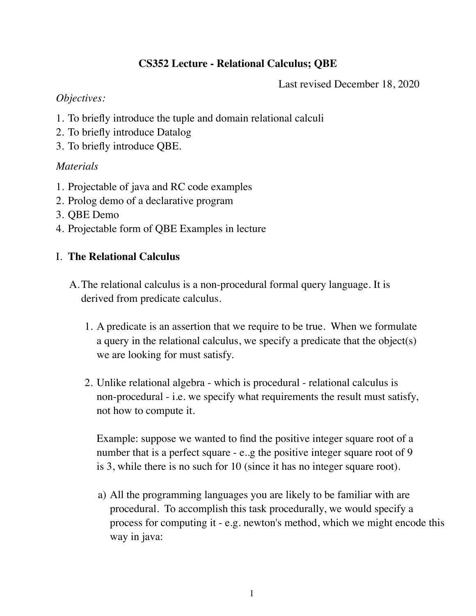# **CS352 Lecture - Relational Calculus; QBE**

Last revised December 18, 2020

## *Objectives:*

- 1. To briefly introduce the tuple and domain relational calculi
- 2. To briefly introduce Datalog
- 3. To briefly introduce QBE.

# *Materials*

- 1. Projectable of java and RC code examples
- 2. Prolog demo of a declarative program
- 3. QBE Demo
- 4. Projectable form of QBE Examples in lecture

# I. **The Relational Calculus**

- A.The relational calculus is a non-procedural formal query language. It is derived from predicate calculus.
	- 1. A predicate is an assertion that we require to be true. When we formulate a query in the relational calculus, we specify a predicate that the object(s) we are looking for must satisfy.
	- 2. Unlike relational algebra which is procedural relational calculus is non-procedural - i.e. we specify what requirements the result must satisfy, not how to compute it.

Example: suppose we wanted to find the positive integer square root of a number that is a perfect square - e.g the positive integer square root of 9 is 3, while there is no such for 10 (since it has no integer square root).

a) All the programming languages you are likely to be familiar with are procedural. To accomplish this task procedurally, we would specify a process for computing it - e.g. newton's method, which we might encode this way in java: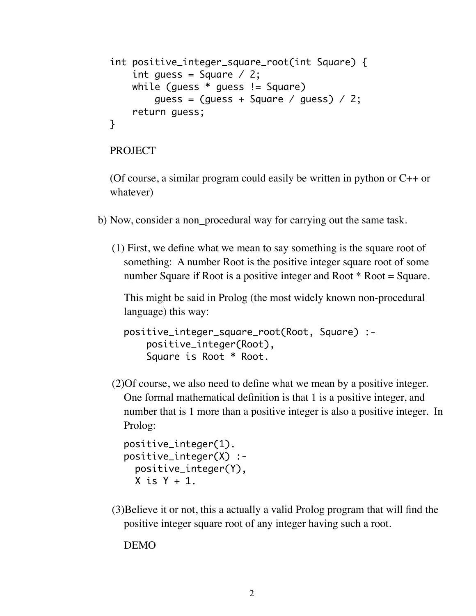```
int positive_integer_square_root(int Square) {
    int guess = Square \angle 2;
     while (guess * guess != Square)
        guess = (guess + Square / guess) / 2; return guess;
}
```
#### PROJECT

(Of course, a similar program could easily be written in python or  $C_{++}$  or whatever)

- b) Now, consider a non\_procedural way for carrying out the same task.
	- (1) First, we define what we mean to say something is the square root of something: A number Root is the positive integer square root of some number Square if Root is a positive integer and Root \* Root = Square.

This might be said in Prolog (the most widely known non-procedural language) this way:

```
positive_integer_square_root(Root, Square) :-
     positive_integer(Root),
     Square is Root * Root.
```
(2)Of course, we also need to define what we mean by a positive integer. One formal mathematical definition is that 1 is a positive integer, and number that is 1 more than a positive integer is also a positive integer. In Prolog:

```
positive_integer(1).
positive_integer(X) :-
   positive_integer(Y),
 X is Y + 1.
```
(3)Believe it or not, this a actually a valid Prolog program that will find the positive integer square root of any integer having such a root.

DEMO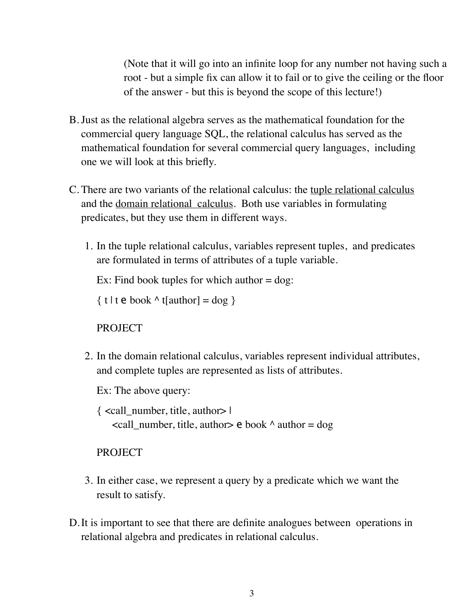(Note that it will go into an infinite loop for any number not having such a root - but a simple fix can allow it to fail or to give the ceiling or the floor of the answer - but this is beyond the scope of this lecture!)

- B.Just as the relational algebra serves as the mathematical foundation for the commercial query language SQL, the relational calculus has served as the mathematical foundation for several commercial query languages, including one we will look at this briefly.
- C. There are two variants of the relational calculus: the tuple relational calculus and the domain relational calculus. Both use variables in formulating predicates, but they use them in different ways.
	- 1. In the tuple relational calculus, variables represent tuples, and predicates are formulated in terms of attributes of a tuple variable.

Ex: Find book tuples for which author  $=$  dog:

 $\{ t | t \in \text{book} \land t[\text{author}] = \text{dog} \}$ 

PROJECT

2. In the domain relational calculus, variables represent individual attributes, and complete tuples are represented as lists of attributes.

Ex: The above query:

{ <call\_number, title, author> |  $\le$ call\_number, title, author  $\ge$  e book  $\land$  author = dog

PROJECT

- 3. In either case, we represent a query by a predicate which we want the result to satisfy.
- D.It is important to see that there are definite analogues between operations in relational algebra and predicates in relational calculus.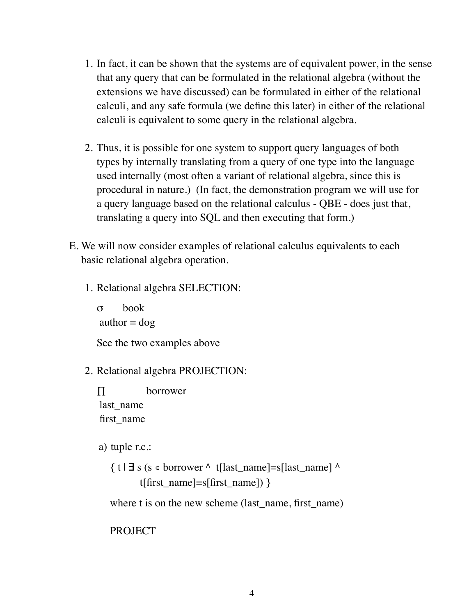- 1. In fact, it can be shown that the systems are of equivalent power, in the sense that any query that can be formulated in the relational algebra (without the extensions we have discussed) can be formulated in either of the relational calculi, and any safe formula (we define this later) in either of the relational calculi is equivalent to some query in the relational algebra.
- 2. Thus, it is possible for one system to support query languages of both types by internally translating from a query of one type into the language used internally (most often a variant of relational algebra, since this is procedural in nature.) (In fact, the demonstration program we will use for a query language based on the relational calculus - QBE - does just that, translating a query into SQL and then executing that form.)
- E. We will now consider examples of relational calculus equivalents to each basic relational algebra operation.
	- 1. Relational algebra SELECTION:

σ book author  $=$  dog See the two examples above

## 2. Relational algebra PROJECTION:

∏ borrower last name first\_name

a) tuple r.c.:

 $\{ t | \exists s$  (s  $\in$  borrower  $\land$  t[last\_name]=s[last\_name]  $\land$ t[first\_name]=s[first\_name]) }

where t is on the new scheme (last\_name, first\_name)

PROJECT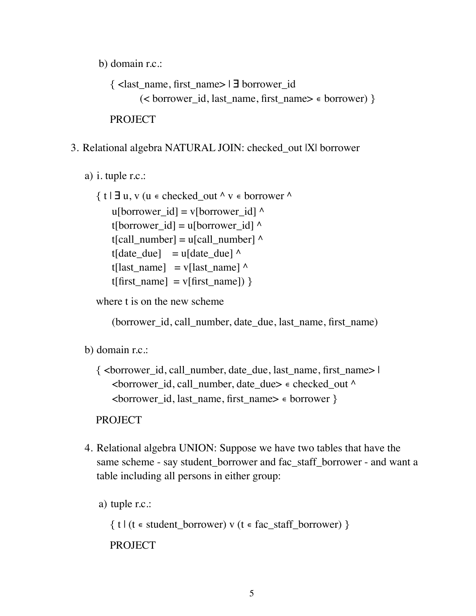b) domain r.c.:

{ <last\_name, first\_name> | ∃ borrower\_id  $(**borrower** id, last name, first name) \in **borrower**)$ PROJECT

# 3. Relational algebra NATURAL JOIN: checked\_out |X| borrower

a) i. tuple r.c.:

 $\{ t | \exists u, v (u \in checked_out \land v \in borrower \land v) \}$ u[borrower  $id$ ] = v[borrower id]  $\wedge$ t[borrower\_id] = u[borrower\_id]  $\wedge$  $t[call number] = u[call number]^\wedge$ t[date due] = u[date due]  $^{\wedge}$ t[last\_name] = v[last\_name]  $\wedge$ t[first\_name] = v[first\_name]) }

where t is on the new scheme

(borrower id, call number, date due, last name, first name)

b) domain r.c.:

 $\{\text{&\text{corrower} id, call number, date due, last name, first name}\}$ <borrower\_id, call\_number, date\_due>  $\epsilon$  checked\_out ^ <borrower\_id, last\_name, first\_name> ∊ borrower }

PROJECT

4. Relational algebra UNION: Suppose we have two tables that have the same scheme - say student borrower and fac staff borrower - and want a table including all persons in either group:

```
a) tuple r.c.:
```
 $\{ t | (t \in student_borrower) \vee (t \in fac_sstaff_borrower) \}$ 

PROJECT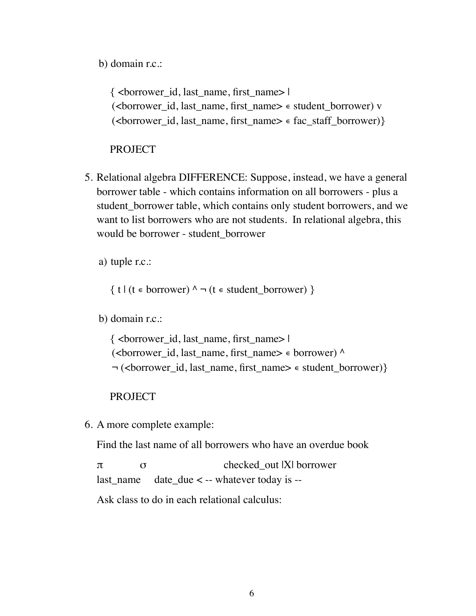b) domain r.c.:

 $\{$  <br/>borrower id, last name, first name>  $\|$ (<borrower id, last\_name, first\_name> ∈ student\_borrower) v (<br/>borrower id, last name, first name>  $\epsilon$  fac staff borrower)}

## PROJECT

5. Relational algebra DIFFERENCE: Suppose, instead, we have a general borrower table - which contains information on all borrowers - plus a student borrower table, which contains only student borrowers, and we want to list borrowers who are not students. In relational algebra, this would be borrower - student\_borrower

a) tuple r.c.:

 $\{ t | (t \in \text{borrower}) \land \neg (t \in \text{student borrower}) \}$ 

b) domain r.c.:

{ <borrower\_id, last\_name, first\_name> | (<borrower\_id, last\_name, first\_name> ∊ borrower) ^ ¬ (<br/>borrower id, last name, first name>  $\epsilon$  student borrower)}

#### PROJECT

6. A more complete example:

Find the last name of all borrowers who have an overdue book

 $\pi$   $\sigma$  checked out |X| borrower last name date due  $\lt$  -- whatever today is --

Ask class to do in each relational calculus: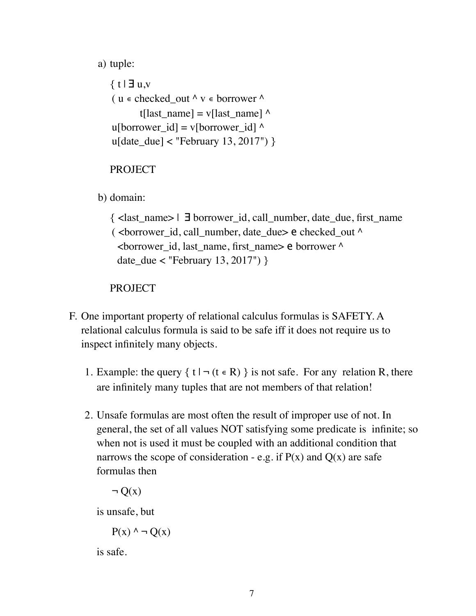a) tuple:

```
\{ t | \exists u,v( u \in \text{checked out } \land v \in \text{borrower } \landt[last_name] = v[last_name] \wedgeu[borrower_id] = v[borrower_id] \wedgeu[date due] < "February 13, 2017") }
```
PROJECT

b) domain:

{ <last\_name> | ∃ borrower\_id, call\_number, date\_due, first\_name ( <br/>borrower id, call number, date due> e checked out  $\wedge$  <borrower\_id, last\_name, first\_name> e borrower ^ date\_due < "February 13, 2017") }

PROJECT

- F. One important property of relational calculus formulas is SAFETY. A relational calculus formula is said to be safe iff it does not require us to inspect infinitely many objects.
	- 1. Example: the query  $\{ t | \neg (t \in R) \}$  is not safe. For any relation R, there are infinitely many tuples that are not members of that relation!
	- 2. Unsafe formulas are most often the result of improper use of not. In general, the set of all values NOT satisfying some predicate is infinite; so when not is used it must be coupled with an additional condition that narrows the scope of consideration - e.g. if  $P(x)$  and  $Q(x)$  are safe formulas then

 $\neg$  O(x)

is unsafe, but

 $P(x) \land \neg Q(x)$ 

is safe.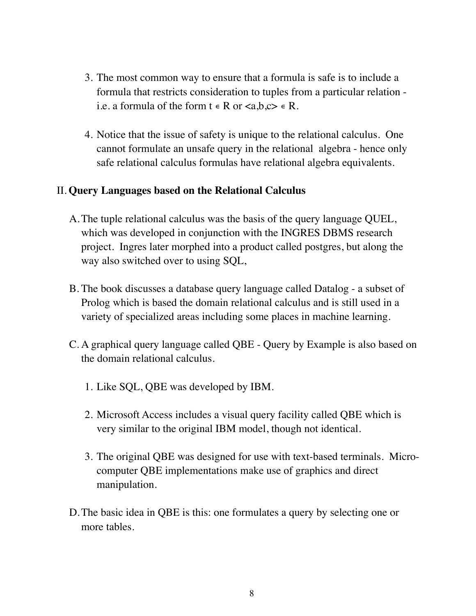- 3. The most common way to ensure that a formula is safe is to include a formula that restricts consideration to tuples from a particular relation i.e. a formula of the form  $t \in R$  or  $\langle a,b,c \rangle \in R$ .
- 4. Notice that the issue of safety is unique to the relational calculus. One cannot formulate an unsafe query in the relational algebra - hence only safe relational calculus formulas have relational algebra equivalents.

## II. **Query Languages based on the Relational Calculus**

- A.The tuple relational calculus was the basis of the query language QUEL, which was developed in conjunction with the INGRES DBMS research project. Ingres later morphed into a product called postgres, but along the way also switched over to using SQL,
- B. The book discusses a database query language called Datalog a subset of Prolog which is based the domain relational calculus and is still used in a variety of specialized areas including some places in machine learning.
- C. A graphical query language called QBE Query by Example is also based on the domain relational calculus.
	- 1. Like SQL, QBE was developed by IBM.
	- 2. Microsoft Access includes a visual query facility called QBE which is very similar to the original IBM model, though not identical.
	- 3. The original QBE was designed for use with text-based terminals. Microcomputer QBE implementations make use of graphics and direct manipulation.
- D.The basic idea in QBE is this: one formulates a query by selecting one or more tables.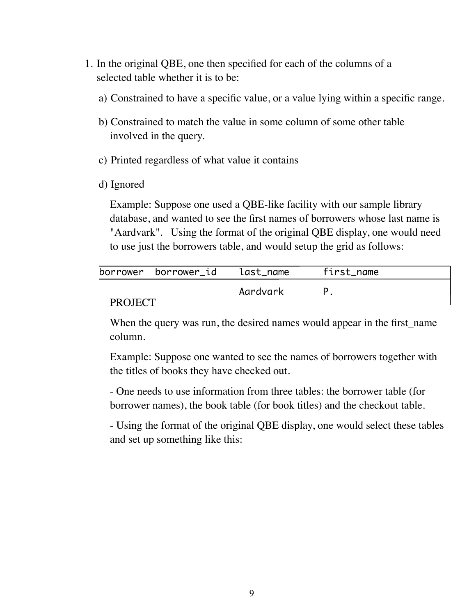- 1. In the original QBE, one then specified for each of the columns of a selected table whether it is to be:
	- a) Constrained to have a specific value, or a value lying within a specific range.
	- b) Constrained to match the value in some column of some other table involved in the query.
	- c) Printed regardless of what value it contains
	- d) Ignored

Example: Suppose one used a QBE-like facility with our sample library database, and wanted to see the first names of borrowers whose last name is "Aardvark". Using the format of the original QBE display, one would need to use just the borrowers table, and would setup the grid as follows:

|                | borrower borrower_id | last_name | first_name |  |
|----------------|----------------------|-----------|------------|--|
|                |                      | Aardvark  |            |  |
| <b>PROJECT</b> |                      |           |            |  |

#### PROJECT

When the query was run, the desired names would appear in the first name column.

Example: Suppose one wanted to see the names of borrowers together with the titles of books they have checked out.

- One needs to use information from three tables: the borrower table (for borrower names), the book table (for book titles) and the checkout table.

- Using the format of the original QBE display, one would select these tables and set up something like this: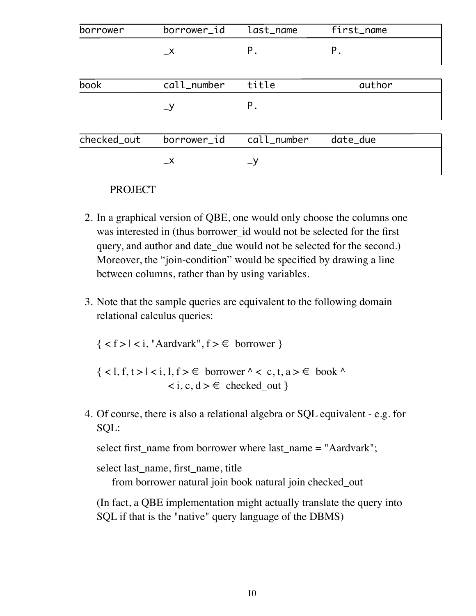| borrower    | borrower_id   | last_name   | first_name |
|-------------|---------------|-------------|------------|
|             | $\mathsf{-x}$ | P.          | Ρ.         |
| book        | call_number   | title       | author     |
|             | $-y$          | P.          |            |
| checked_out | borrower_id   | call_number | date_due   |
|             | $\mathsf{X}$  | $-9$        |            |

#### PROJECT

- 2. In a graphical version of QBE, one would only choose the columns one was interested in (thus borrower id would not be selected for the first query, and author and date due would not be selected for the second.) Moreover, the "join-condition" would be specified by drawing a line between columns, rather than by using variables.
- 3. Note that the sample queries are equivalent to the following domain relational calculus queries:

 $\{ < f > | < i$ , "Aardvark",  $f > \epsilon$  borrower  $\}$ 

 $\{ <1, f, t>1 < i, l, f> \in \text{ borrower} \land < c, t, a> \in \text{book} \land$  $\langle i, c, d \rangle \in \text{ checked out }$ 

4. Of course, there is also a relational algebra or SQL equivalent - e.g. for SQL:

select first\_name from borrower where last\_name = "Aardvark";

select last\_name, first\_name, title

from borrower natural join book natural join checked\_out

(In fact, a QBE implementation might actually translate the query into SQL if that is the "native" query language of the DBMS)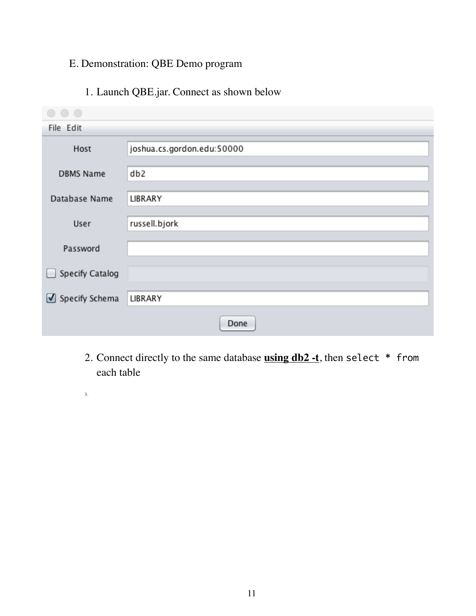# E. Demonstration: QBE Demo program

# 1. Launch QBE.jar. Connect as shown below

| $\bigcap$        |                            |
|------------------|----------------------------|
| File Edit        |                            |
| Host             | joshua.cs.gordon.edu:50000 |
| <b>DBMS Name</b> | db <sub>2</sub>            |
| Database Name    | LIBRARY                    |
| User             | russell.bjork              |
| Password         |                            |
| Specify Catalog  |                            |
| ■ Specify Schema | LIBRARY                    |
|                  | Done                       |

- 2. Connect directly to the same database **using db2 -t**, then select \* from each table
- 3.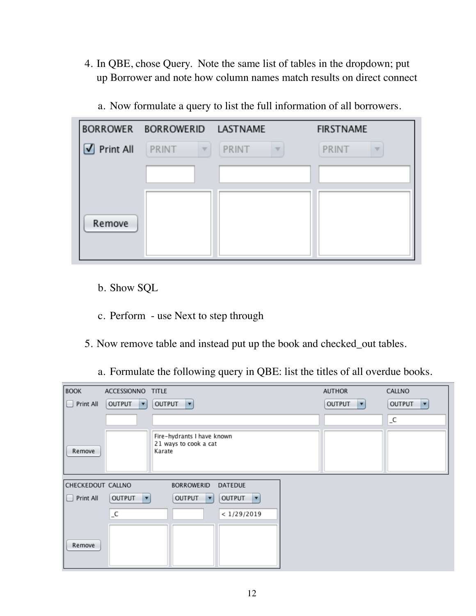4. In QBE, chose Query. Note the same list of tables in the dropdown; put up Borrower and note how column names match results on direct connect

| <b>BORROWER</b> | BORROWERID LASTNAME        |                                   | <b>FIRSTNAME</b>                  |
|-----------------|----------------------------|-----------------------------------|-----------------------------------|
| Print All       | PRINT<br>$\overline{\psi}$ | PRINT<br>$\overline{\mathcal{A}}$ | PRINT<br>$\overline{\mathcal{A}}$ |
|                 |                            |                                   |                                   |
| Remove          |                            |                                   |                                   |

a. Now formulate a query to list the full information of all borrowers.

- b. Show SQL
- c. Perform use Next to step through
- 5. Now remove table and instead put up the book and checked\_out tables.
	- a. Formulate the following query in QBE: list the titles of all overdue books.

| <b>BOOK</b>       | ACCESSIONNO TITLE                         |                                                                                       | <b>AUTHOR</b>                             | CALLNO                                |
|-------------------|-------------------------------------------|---------------------------------------------------------------------------------------|-------------------------------------------|---------------------------------------|
| Print All         | <b>OUTPUT</b><br>$\vert \mathbf{v} \vert$ | <b>OUTPUT</b><br>$\vert \mathbf{v} \vert$                                             | <b>OUTPUT</b><br>$\vert \mathbf{v} \vert$ | <b>OUTPUT</b><br>$\blacktriangledown$ |
|                   |                                           |                                                                                       |                                           | $\_C$                                 |
| Remove            |                                           | Fire-hydrants I have known<br>21 ways to cook a cat<br>Karate                         |                                           |                                       |
| CHECKEDOUT CALLNO |                                           | <b>BORROWERID</b><br><b>DATEDUE</b>                                                   |                                           |                                       |
| Print All         | <b>OUTPUT</b><br>$\vert \mathbf{v} \vert$ | <b>OUTPUT</b><br><b>OUTPUT</b><br>$\overline{\phantom{a}}$<br>$\overline{\mathbf{v}}$ |                                           |                                       |
|                   | $\_C$                                     | < 1/29/2019                                                                           |                                           |                                       |
| Remove            |                                           |                                                                                       |                                           |                                       |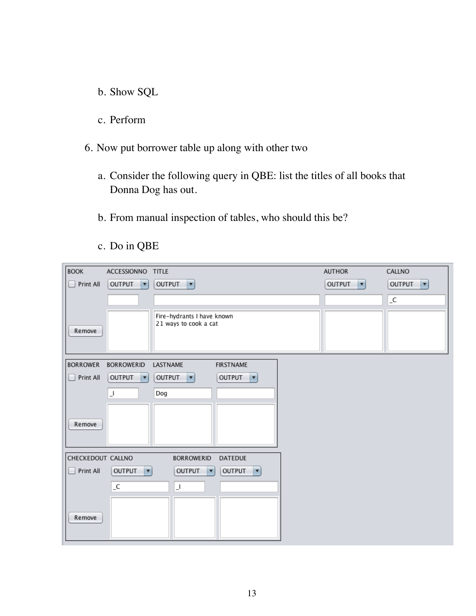- b. Show SQL
- c. Perform
- 6. Now put borrower table up along with other two
	- a. Consider the following query in QBE: list the titles of all books that Donna Dog has out.
	- b. From manual inspection of tables, who should this be?
	- c. Do in QBE

| <b>BOOK</b>       | ACCESSIONNO TITLE                         |                                                                                        | <b>AUTHOR</b>                         | CALLNO             |
|-------------------|-------------------------------------------|----------------------------------------------------------------------------------------|---------------------------------------|--------------------|
| Print All         | <b>OUTPUT</b><br>$\mathbf{v}$             | <b>OUTPUT</b><br>$\vert \mathbf{v} \vert$                                              | <b>OUTPUT</b><br>$\blacktriangledown$ | <b>OUTPUT</b><br>▼ |
|                   |                                           |                                                                                        |                                       | $\_C$              |
| Remove            |                                           | Fire-hydrants I have known<br>21 ways to cook a cat                                    |                                       |                    |
| <b>BORROWER</b>   | <b>BORROWERID</b>                         | LASTNAME<br><b>FIRSTNAME</b>                                                           |                                       |                    |
| Print All         | OUTPUT<br>$\mathbf{r}$                    | OUTPUT<br><b>OUTPUT</b><br>◘<br>$\overline{\mathbf{v}}$                                |                                       |                    |
| Remove            | $\lrcorner$                               | Dog                                                                                    |                                       |                    |
| CHECKEDOUT CALLNO |                                           | <b>BORROWERID</b><br><b>DATEDUE</b>                                                    |                                       |                    |
| Print All         | <b>OUTPUT</b><br>$\vert \mathbf{v} \vert$ | <b>OUTPUT</b><br><b>OUTPUT</b><br>$\vert \mathbf{v} \vert$<br>$\overline{\phantom{a}}$ |                                       |                    |
| Remove            | $\_C$                                     | $\lrcorner$                                                                            |                                       |                    |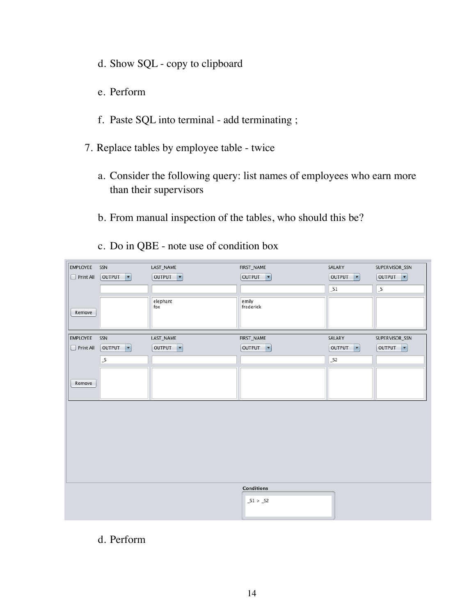- d. Show SQL copy to clipboard
- e. Perform
- f. Paste SQL into terminal add terminating ;
- 7. Replace tables by employee table twice
	- a. Consider the following query: list names of employees who earn more than their supervisors
	- b. From manual inspection of the tables, who should this be?
	- c. Do in QBE note use of condition box

| <b>EMPLOYEE</b>  | SSN   | LAST_NAME                                 | FIRST_NAME                         | SALARY                                    | SUPERVISOR_SSN                     |
|------------------|-------|-------------------------------------------|------------------------------------|-------------------------------------------|------------------------------------|
| $\Box$ Print All |       | <b>OUTPUT</b><br>$\vert \mathbf{v} \vert$ | OUTPUT<br>$\vert \mathbf{v} \vert$ | <b>OUTPUT</b><br>$\vert \mathbf{v} \vert$ | OUTPUT<br>$\vert \mathbf{v} \vert$ |
|                  |       |                                           |                                    | $\_51$                                    | $\_S$                              |
|                  |       |                                           |                                    |                                           |                                    |
|                  |       | elephant                                  | emily                              |                                           |                                    |
| Remove           |       | fox                                       | frederick                          |                                           |                                    |
|                  |       |                                           |                                    |                                           |                                    |
|                  |       |                                           |                                    |                                           |                                    |
| <b>EMPLOYEE</b>  | SSN   | LAST_NAME                                 | FIRST_NAME                         | SALARY                                    | SUPERVISOR_SSN                     |
|                  |       |                                           |                                    |                                           |                                    |
| $\Box$ Print All |       | OUTPUT <b>v</b>                           | OUTPUT <b>v</b>                    | <b>OUTPUT</b><br>$\vert \mathbf{v} \vert$ | OUTPUT <b>v</b>                    |
|                  | $\_S$ |                                           |                                    | S2                                        |                                    |
|                  |       |                                           |                                    |                                           |                                    |
|                  |       |                                           |                                    |                                           |                                    |
| Remove           |       |                                           |                                    |                                           |                                    |
|                  |       |                                           |                                    |                                           |                                    |
|                  |       |                                           |                                    |                                           |                                    |
|                  |       |                                           |                                    |                                           |                                    |
|                  |       |                                           |                                    |                                           |                                    |
|                  |       |                                           |                                    |                                           |                                    |
|                  |       |                                           |                                    |                                           |                                    |
|                  |       |                                           |                                    |                                           |                                    |
|                  |       |                                           |                                    |                                           |                                    |
|                  |       |                                           |                                    |                                           |                                    |
|                  |       |                                           |                                    |                                           |                                    |
|                  |       |                                           |                                    |                                           |                                    |
|                  |       |                                           |                                    |                                           |                                    |
|                  |       |                                           | <b>Conditions</b>                  |                                           |                                    |
|                  |       |                                           | $_51 > _52$                        |                                           |                                    |
|                  |       |                                           |                                    |                                           |                                    |
|                  |       |                                           |                                    |                                           |                                    |
|                  |       |                                           |                                    |                                           |                                    |

## d. Perform